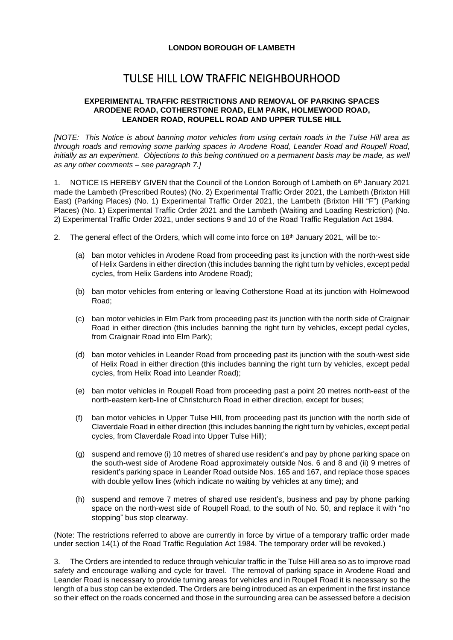## **LONDON BOROUGH OF LAMBETH**

## TULSE HILL LOW TRAFFIC NEIGHBOURHOOD

## **EXPERIMENTAL TRAFFIC RESTRICTIONS AND REMOVAL OF PARKING SPACES ARODENE ROAD, COTHERSTONE ROAD, ELM PARK, HOLMEWOOD ROAD, LEANDER ROAD, ROUPELL ROAD AND UPPER TULSE HILL**

*[NOTE: This Notice is about banning motor vehicles from using certain roads in the Tulse Hill area as through roads and removing some parking spaces in Arodene Road, Leander Road and Roupell Road, initially as an experiment. Objections to this being continued on a permanent basis may be made, as well as any other comments – see paragraph 7.]*

1. NOTICE IS HEREBY GIVEN that the Council of the London Borough of Lambeth on 6<sup>th</sup> January 2021 made the Lambeth (Prescribed Routes) (No. 2) Experimental Traffic Order 2021, the Lambeth (Brixton Hill East) (Parking Places) (No. 1) Experimental Traffic Order 2021, the Lambeth (Brixton Hill "F") (Parking Places) (No. 1) Experimental Traffic Order 2021 and the Lambeth (Waiting and Loading Restriction) (No. 2) Experimental Traffic Order 2021, under sections 9 and 10 of the Road Traffic Regulation Act 1984.

- 2. The general effect of the Orders, which will come into force on  $18<sup>th</sup>$  January 2021, will be to:-
	- (a) ban motor vehicles in Arodene Road from proceeding past its junction with the north-west side of Helix Gardens in either direction (this includes banning the right turn by vehicles, except pedal cycles, from Helix Gardens into Arodene Road);
	- (b) ban motor vehicles from entering or leaving Cotherstone Road at its junction with Holmewood Road;
	- (c) ban motor vehicles in Elm Park from proceeding past its junction with the north side of Craignair Road in either direction (this includes banning the right turn by vehicles, except pedal cycles, from Craignair Road into Elm Park);
	- (d) ban motor vehicles in Leander Road from proceeding past its junction with the south-west side of Helix Road in either direction (this includes banning the right turn by vehicles, except pedal cycles, from Helix Road into Leander Road);
	- (e) ban motor vehicles in Roupell Road from proceeding past a point 20 metres north-east of the north-eastern kerb-line of Christchurch Road in either direction, except for buses;
	- (f) ban motor vehicles in Upper Tulse Hill, from proceeding past its junction with the north side of Claverdale Road in either direction (this includes banning the right turn by vehicles, except pedal cycles, from Claverdale Road into Upper Tulse Hill);
	- (g) suspend and remove (i) 10 metres of shared use resident's and pay by phone parking space on the south-west side of Arodene Road approximately outside Nos. 6 and 8 and (ii) 9 metres of resident's parking space in Leander Road outside Nos. 165 and 167, and replace those spaces with double yellow lines (which indicate no waiting by vehicles at any time); and
	- (h) suspend and remove 7 metres of shared use resident's, business and pay by phone parking space on the north-west side of Roupell Road, to the south of No. 50, and replace it with "no stopping" bus stop clearway.

(Note: The restrictions referred to above are currently in force by virtue of a temporary traffic order made under section 14(1) of the Road Traffic Regulation Act 1984. The temporary order will be revoked.)

3. The Orders are intended to reduce through vehicular traffic in the Tulse Hill area so as to improve road safety and encourage walking and cycle for travel. The removal of parking space in Arodene Road and Leander Road is necessary to provide turning areas for vehicles and in Roupell Road it is necessary so the length of a bus stop can be extended. The Orders are being introduced as an experiment in the first instance so their effect on the roads concerned and those in the surrounding area can be assessed before a decision